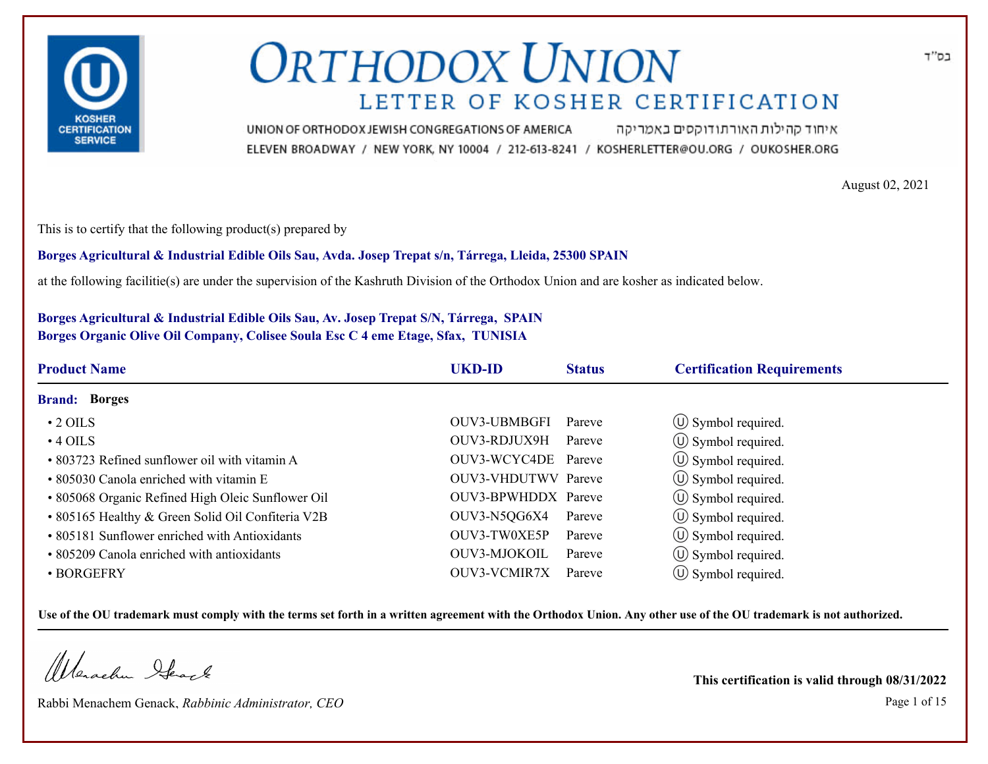

איחוד קהילות האורתודוקסים באמריקה UNION OF ORTHODOX JEWISH CONGREGATIONS OF AMERICA ELEVEN BROADWAY / NEW YORK, NY 10004 / 212-613-8241 / KOSHERLETTER@OU.ORG / OUKOSHER.ORG

August 02, 2021

This is to certify that the following product(s) prepared by

#### **Borges Agricultural & Industrial Edible Oils Sau, Avda. Josep Trepat s/n, Tárrega, Lleida, 25300 SPAIN**

at the following facilitie(s) are under the supervision of the Kashruth Division of the Orthodox Union and are kosher as indicated below.

### **Borges Agricultural & Industrial Edible Oils Sau, Av. Josep Trepat S/N, Tárrega, SPAIN Borges Organic Olive Oil Company, Colisee Soula Esc C 4 eme Etage, Sfax, TUNISIA**

| <b>Product Name</b>                               | <b>UKD-ID</b>              | <b>Status</b> | <b>Certification Requirements</b> |  |
|---------------------------------------------------|----------------------------|---------------|-----------------------------------|--|
| <b>Brand: Borges</b>                              |                            |               |                                   |  |
| $\cdot$ 2 OILS                                    | OUV3-UBMBGFI               | Pareve        | $\circ$ Symbol required.          |  |
| $\cdot$ 4 OILS                                    | OUV3-RDJUX9H               | Pareve        | $\circ$ Symbol required.          |  |
| • 803723 Refined sunflower oil with vitamin A     | OUV3-WCYC4DE Pareve        |               | $\circled{1}$ Symbol required.    |  |
| • 805030 Canola enriched with vitamin E           | <b>OUV3-VHDUTWV Pareve</b> |               | $\circ$ Symbol required.          |  |
| • 805068 Organic Refined High Oleic Sunflower Oil | OUV3-BPWHDDX Pareve        |               | $\circ$ Symbol required.          |  |
| • 805165 Healthy & Green Solid Oil Confiteria V2B | OUV3-N5QG6X4               | Pareve        | $\circ$ Symbol required.          |  |
| • 805181 Sunflower enriched with Antioxidants     | OUV3-TW0XE5P               | Pareve        | $\circ$ Symbol required.          |  |
| • 805209 Canola enriched with antioxidants        | OUV3-MJOKOIL               | Pareve        | $\circ$ Symbol required.          |  |
| • BORGEFRY                                        | <b>OUV3-VCMIR7X</b>        | Pareve        | $\cup$ Symbol required.           |  |

**Use of the OU trademark must comply with the terms set forth in a written agreement with the Orthodox Union. Any other use of the OU trademark is not authorized.**

Werachen Ifearle

Rabbi Menachem Genack, *Rabbinic Administrator, CEO* Page 1 of 15

**This certification is valid through 08/31/2022**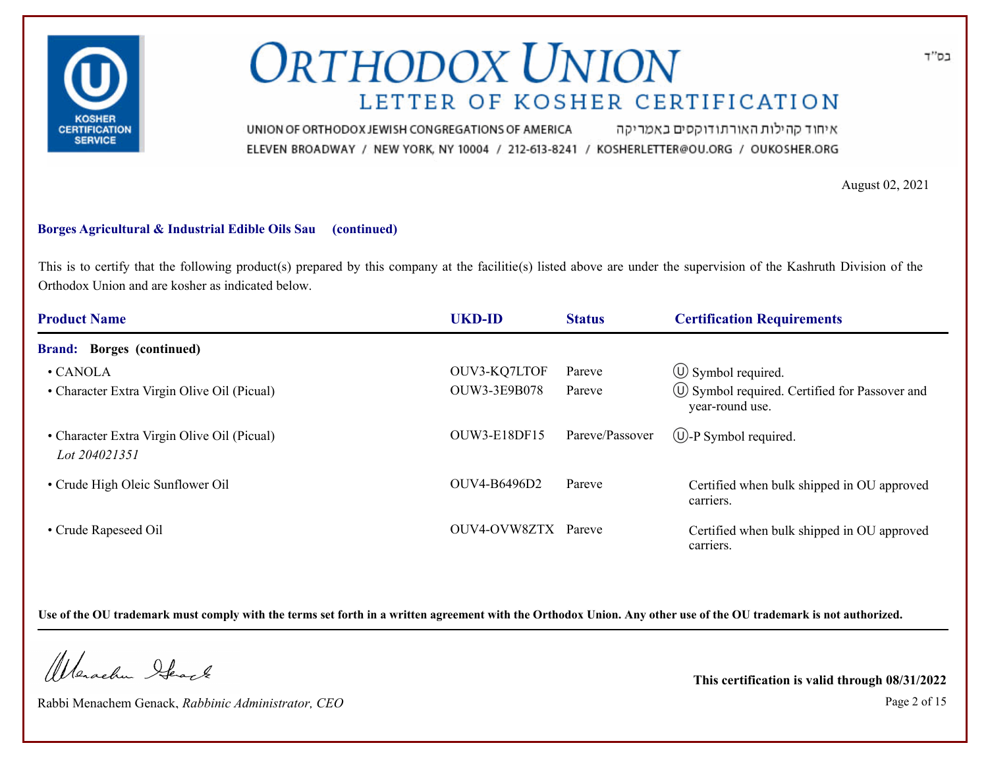

איחוד קהילות האורתודוקסים באמריקה UNION OF ORTHODOX JEWISH CONGREGATIONS OF AMERICA ELEVEN BROADWAY / NEW YORK, NY 10004 / 212-613-8241 / KOSHERLETTER@OU.ORG / OUKOSHER.ORG

August 02, 2021

#### **Borges Agricultural & Industrial Edible Oils Sau (continued)**

This is to certify that the following product(s) prepared by this company at the facilitie(s) listed above are under the supervision of the Kashruth Division of the Orthodox Union and are kosher as indicated below.

| <b>Product Name</b>                                          | <b>UKD-ID</b>       | <b>Status</b>   | <b>Certification Requirements</b>                                            |
|--------------------------------------------------------------|---------------------|-----------------|------------------------------------------------------------------------------|
| <b>Brand:</b> Borges (continued)                             |                     |                 |                                                                              |
| $\cdot$ CANOLA                                               | OUV3-KQ7LTOF        | Pareve          | $\circ$ Symbol required.                                                     |
| • Character Extra Virgin Olive Oil (Picual)                  | OUW3-3E9B078        | Pareve          | $\circled{1}$ Symbol required. Certified for Passover and<br>year-round use. |
| • Character Extra Virgin Olive Oil (Picual)<br>Lot 204021351 | <b>OUW3-E18DF15</b> | Pareve/Passover | $\circled{1}$ -P Symbol required.                                            |
| • Crude High Oleic Sunflower Oil                             | OUV4-B6496D2        | Pareve          | Certified when bulk shipped in OU approved<br>carriers.                      |
| • Crude Rapeseed Oil                                         | OUV4-OVW8ZTX Pareve |                 | Certified when bulk shipped in OU approved<br>carriers.                      |

**Use of the OU trademark must comply with the terms set forth in a written agreement with the Orthodox Union. Any other use of the OU trademark is not authorized.**

Werschn Stack

Rabbi Menachem Genack, *Rabbinic Administrator, CEO* Page 2 of 15

**This certification is valid through 08/31/2022**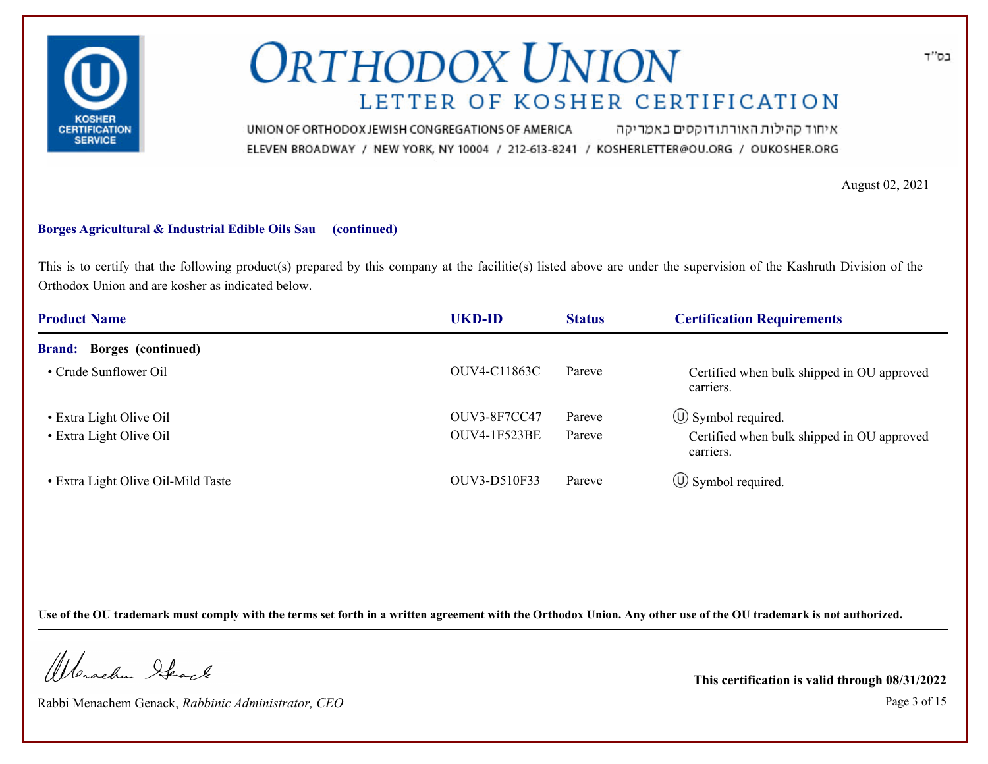

איחוד קהילות האורתודוקסים באמריקה UNION OF ORTHODOX JEWISH CONGREGATIONS OF AMERICA ELEVEN BROADWAY / NEW YORK, NY 10004 / 212-613-8241 / KOSHERLETTER@OU.ORG / OUKOSHER.ORG

August 02, 2021

#### **Borges Agricultural & Industrial Edible Oils Sau (continued)**

This is to certify that the following product(s) prepared by this company at the facilitie(s) listed above are under the supervision of the Kashruth Division of the Orthodox Union and are kosher as indicated below.

| <b>Product Name</b>                | <b>UKD-ID</b>       | <b>Status</b> | <b>Certification Requirements</b>                       |
|------------------------------------|---------------------|---------------|---------------------------------------------------------|
| <b>Brand:</b> Borges (continued)   |                     |               |                                                         |
| • Crude Sunflower Oil              | OUV4-C11863C        | Pareve        | Certified when bulk shipped in OU approved<br>carriers. |
| • Extra Light Olive Oil            | <b>OUV3-8F7CC47</b> | Pareve        | $\circled{1}$ Symbol required.                          |
| • Extra Light Olive Oil            | <b>OUV4-1F523BE</b> | Pareve        | Certified when bulk shipped in OU approved<br>carriers. |
| • Extra Light Olive Oil-Mild Taste | OUV3-D510F33        | Pareve        | $\circled{1}$ Symbol required.                          |

**Use of the OU trademark must comply with the terms set forth in a written agreement with the Orthodox Union. Any other use of the OU trademark is not authorized.**

Werschn Stack

Rabbi Menachem Genack, *Rabbinic Administrator, CEO* Page 3 of 15

**This certification is valid through 08/31/2022**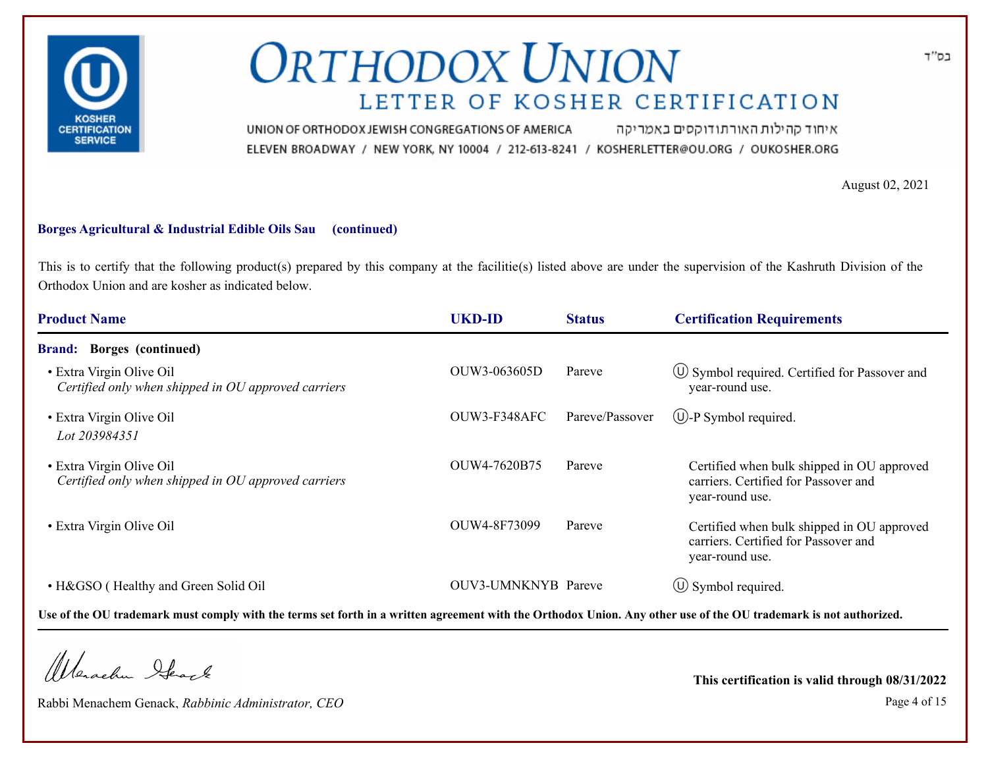

איחוד קהילות האורתודוקסים באמריקה UNION OF ORTHODOX JEWISH CONGREGATIONS OF AMERICA ELEVEN BROADWAY / NEW YORK, NY 10004 / 212-613-8241 / KOSHERLETTER@OU.ORG / OUKOSHER.ORG

August 02, 2021

#### **Borges Agricultural & Industrial Edible Oils Sau (continued)**

This is to certify that the following product(s) prepared by this company at the facilitie(s) listed above are under the supervision of the Kashruth Division of the Orthodox Union and are kosher as indicated below.

| <b>Product Name</b>                                                             | <b>UKD-ID</b>       | <b>Status</b>   | <b>Certification Requirements</b>                                                                     |
|---------------------------------------------------------------------------------|---------------------|-----------------|-------------------------------------------------------------------------------------------------------|
| <b>Borges</b> (continued)<br><b>Brand:</b>                                      |                     |                 |                                                                                                       |
| • Extra Virgin Olive Oil<br>Certified only when shipped in OU approved carriers | OUW3-063605D        | Pareve          | $\circ$ Symbol required. Certified for Passover and<br>year-round use.                                |
| • Extra Virgin Olive Oil<br>Lot 203984351                                       | OUW3-F348AFC        | Pareve/Passover | $(\bigcup$ -P Symbol required.                                                                        |
| • Extra Virgin Olive Oil<br>Certified only when shipped in OU approved carriers | OUW4-7620B75        | Pareve          | Certified when bulk shipped in OU approved<br>carriers. Certified for Passover and<br>year-round use. |
| • Extra Virgin Olive Oil                                                        | OUW4-8F73099        | Pareve          | Certified when bulk shipped in OU approved<br>carriers. Certified for Passover and<br>year-round use. |
| • H&GSO (Healthy and Green Solid Oil                                            | OUV3-UMNKNYB Pareve |                 | $\circled{1}$ Symbol required.                                                                        |

**Use of the OU trademark must comply with the terms set forth in a written agreement with the Orthodox Union. Any other use of the OU trademark is not authorized.**

Werschn Stack

Rabbi Menachem Genack, *Rabbinic Administrator, CEO* Page 4 of 15

**This certification is valid through 08/31/2022**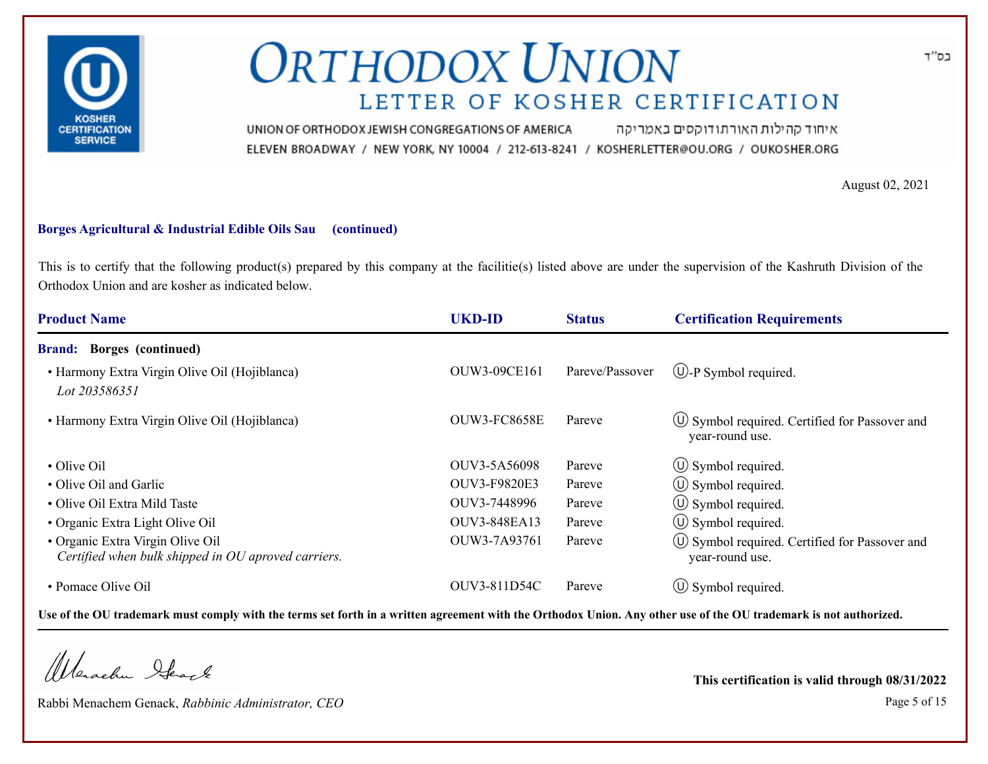

איחוד קהילות האורתודוקסים באמריקה UNION OF ORTHODOX JEWISH CONGREGATIONS OF AMERICA ELEVEN BROADWAY / NEW YORK, NY 10004 / 212-613-8241 / KOSHERLETTER@OU.ORG / OUKOSHER.ORG

August 02, 2021

#### **Borges Agricultural & Industrial Edible Oils Sau (continued)**

This is to certify that the following product(s) prepared by this company at the facilitie(s) listed above are under the supervision of the Kashruth Division of the Orthodox Union and are kosher as indicated below.

| <b>Product Name</b>                                                                     | <b>UKD-ID</b>       | <b>Status</b>   | <b>Certification Requirements</b>                                      |
|-----------------------------------------------------------------------------------------|---------------------|-----------------|------------------------------------------------------------------------|
| <b>Borges</b> (continued)<br><b>Brand:</b>                                              |                     |                 |                                                                        |
| • Harmony Extra Virgin Olive Oil (Hojiblanca)<br>Lot 203586351                          | OUW3-09CE161        | Pareve/Passover | $\bigcirc$ -P Symbol required.                                         |
| • Harmony Extra Virgin Olive Oil (Hojiblanca)                                           | <b>OUW3-FC8658E</b> | Pareve          | $\circ$ Symbol required. Certified for Passover and<br>year-round use. |
| • Olive Oil                                                                             | OUV3-5A56098        | Pareve          | $\circled{0}$ Symbol required.                                         |
| • Olive Oil and Garlic                                                                  | OUV3-F9820E3        | Pareve          | $\circ$ Symbol required.                                               |
| • Olive Oil Extra Mild Taste                                                            | OUV3-7448996        | Pareve          | $\circ$ Symbol required.                                               |
| • Organic Extra Light Olive Oil                                                         | OUV3-848EA13        | Pareve          | $\circ$ Symbol required.                                               |
| • Organic Extra Virgin Olive Oil<br>Certified when bulk shipped in OU aproved carriers. | OUW3-7A93761        | Pareve          | (∪) Symbol required. Certified for Passover and<br>year-round use.     |
| • Pomace Olive Oil                                                                      | OUV3-811D54C        | Pareve          | $\circ$ Symbol required.                                               |

**Use of the OU trademark must comply with the terms set forth in a written agreement with the Orthodox Union. Any other use of the OU trademark is not authorized.**

Werschn Stack

Rabbi Menachem Genack, *Rabbinic Administrator, CEO* Page 5 of 15

**This certification is valid through 08/31/2022**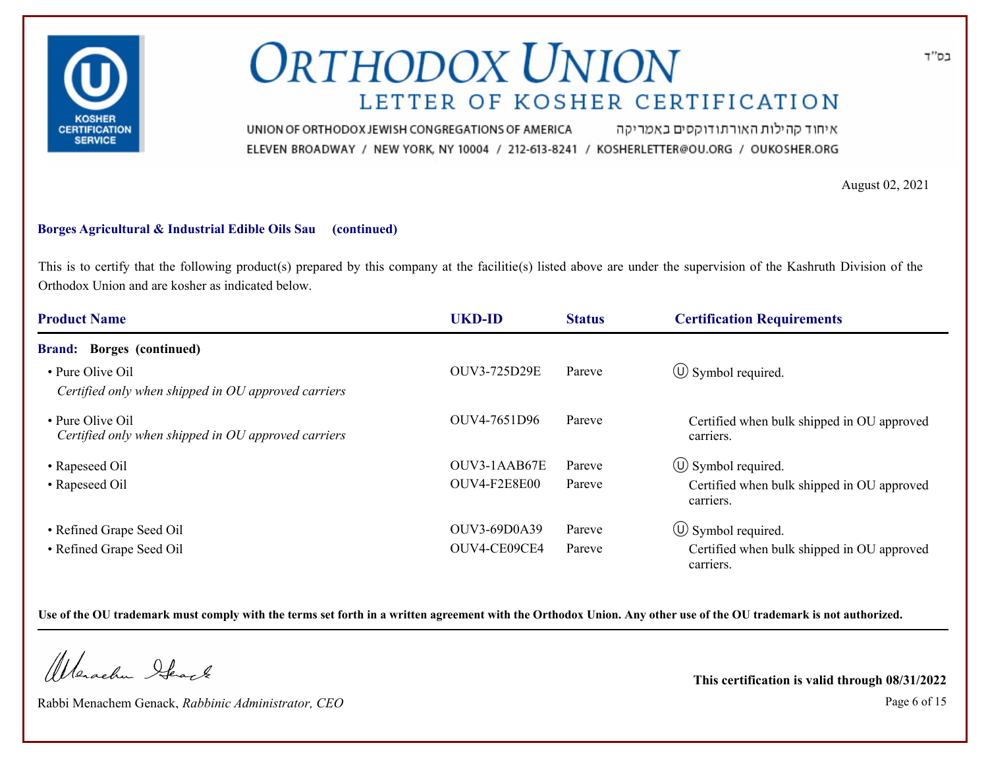

איחוד קהילות האורתודוקסים באמריקה UNION OF ORTHODOX JEWISH CONGREGATIONS OF AMERICA ELEVEN BROADWAY / NEW YORK, NY 10004 / 212-613-8241 / KOSHERLETTER@OU.ORG / OUKOSHER.ORG

August 02, 2021

#### **Borges Agricultural & Industrial Edible Oils Sau (continued)**

This is to certify that the following product(s) prepared by this company at the facilitie(s) listed above are under the supervision of the Kashruth Division of the Orthodox Union and are kosher as indicated below.

| <b>Product Name</b>                                                     | <b>UKD-ID</b> | <b>Status</b> | <b>Certification Requirements</b>                       |
|-------------------------------------------------------------------------|---------------|---------------|---------------------------------------------------------|
| <b>Brand:</b> Borges (continued)                                        |               |               |                                                         |
| • Pure Olive Oil<br>Certified only when shipped in OU approved carriers | OUV3-725D29E  | Pareve        | $\circ$ Symbol required.                                |
| • Pure Olive Oil<br>Certified only when shipped in OU approved carriers | OUV4-7651D96  | Pareve        | Certified when bulk shipped in OU approved<br>carriers. |
| • Rapeseed Oil                                                          | OUV3-1AAB67E  | Pareve        | $\circled{1}$ Symbol required.                          |
| • Rapeseed Oil                                                          | OUV4-F2E8E00  | Pareve        | Certified when bulk shipped in OU approved<br>carriers. |
| • Refined Grape Seed Oil                                                | OUV3-69D0A39  | Pareve        | $\circled{0}$ Symbol required.                          |
| • Refined Grape Seed Oil                                                | OUV4-CE09CE4  | Pareve        | Certified when bulk shipped in OU approved<br>carriers. |

**Use of the OU trademark must comply with the terms set forth in a written agreement with the Orthodox Union. Any other use of the OU trademark is not authorized.**

Werschn Stack

Rabbi Menachem Genack, *Rabbinic Administrator, CEO* Page 6 of 15

**This certification is valid through 08/31/2022**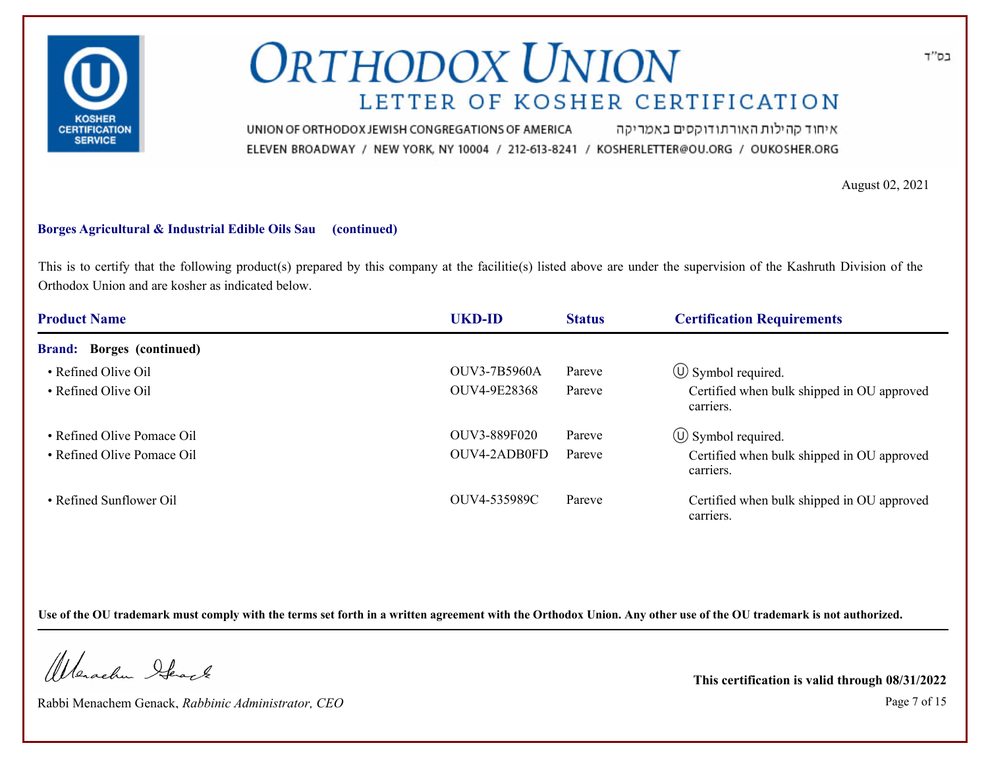

איחוד קהילות האורתודוקסים באמריקה UNION OF ORTHODOX JEWISH CONGREGATIONS OF AMERICA ELEVEN BROADWAY / NEW YORK, NY 10004 / 212-613-8241 / KOSHERLETTER@OU.ORG / OUKOSHER.ORG

August 02, 2021

#### **Borges Agricultural & Industrial Edible Oils Sau (continued)**

This is to certify that the following product(s) prepared by this company at the facilitie(s) listed above are under the supervision of the Kashruth Division of the Orthodox Union and are kosher as indicated below.

| <b>Product Name</b>                        | <b>UKD-ID</b>       | <b>Status</b> | <b>Certification Requirements</b>                       |
|--------------------------------------------|---------------------|---------------|---------------------------------------------------------|
| <b>Borges</b> (continued)<br><b>Brand:</b> |                     |               |                                                         |
| • Refined Olive Oil                        | <b>OUV3-7B5960A</b> | Pareve        | $\circled{1}$ Symbol required.                          |
| • Refined Olive Oil                        | OUV4-9E28368        | Pareve        | Certified when bulk shipped in OU approved<br>carriers. |
| • Refined Olive Pomace Oil                 | OUV3-889F020        | Pareve        | $\circ$ Symbol required.                                |
| • Refined Olive Pomace Oil                 | OUV4-2ADB0FD        | Pareve        | Certified when bulk shipped in OU approved<br>carriers. |
| • Refined Sunflower Oil                    | OUV4-535989C        | Pareve        | Certified when bulk shipped in OU approved<br>carriers. |

**Use of the OU trademark must comply with the terms set forth in a written agreement with the Orthodox Union. Any other use of the OU trademark is not authorized.**

Werschn Stack

Rabbi Menachem Genack, *Rabbinic Administrator, CEO* Page 7 of 15

**This certification is valid through 08/31/2022**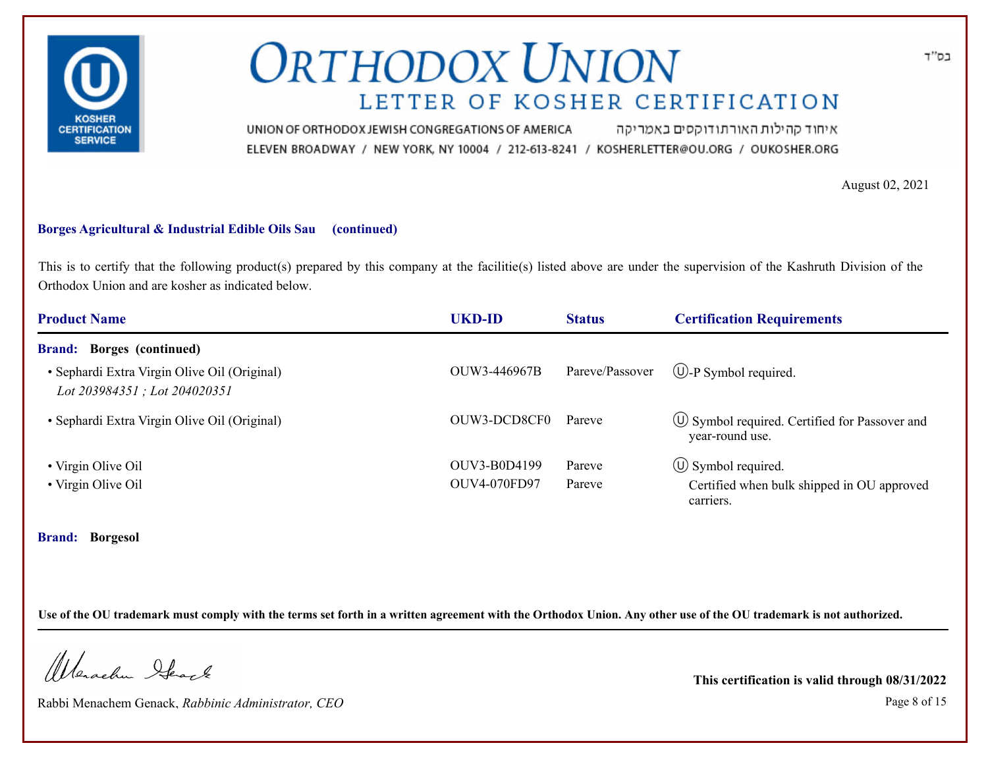

איחוד קהילות האורתודוקסים באמריקה UNION OF ORTHODOX JEWISH CONGREGATIONS OF AMERICA ELEVEN BROADWAY / NEW YORK, NY 10004 / 212-613-8241 / KOSHERLETTER@OU.ORG / OUKOSHER.ORG

August 02, 2021

#### **Borges Agricultural & Industrial Edible Oils Sau (continued)**

This is to certify that the following product(s) prepared by this company at the facilitie(s) listed above are under the supervision of the Kashruth Division of the Orthodox Union and are kosher as indicated below.

| <b>Product Name</b>                                                          | UKD-ID       | <b>Status</b>   | <b>Certification Requirements</b>                                      |
|------------------------------------------------------------------------------|--------------|-----------------|------------------------------------------------------------------------|
| <b>Brand:</b> Borges (continued)                                             |              |                 |                                                                        |
| • Sephardi Extra Virgin Olive Oil (Original)<br>Lot 203984351; Lot 204020351 | OUW3-446967B | Pareve/Passover | $\bigcirc$ -P Symbol required.                                         |
| • Sephardi Extra Virgin Olive Oil (Original)                                 | OUW3-DCD8CF0 | Pareve          | $\circ$ Symbol required. Certified for Passover and<br>year-round use. |
| • Virgin Olive Oil                                                           | OUV3-B0D4199 | Pareve          | $\circled{1}$ Symbol required.                                         |
| • Virgin Olive Oil                                                           | OUV4-070FD97 | Pareve          | Certified when bulk shipped in OU approved<br>carriers.                |

**Brand: Borgesol**

**Use of the OU trademark must comply with the terms set forth in a written agreement with the Orthodox Union. Any other use of the OU trademark is not authorized.**

Werschn Stack

Rabbi Menachem Genack, *Rabbinic Administrator, CEO* Page 8 of 15

**This certification is valid through 08/31/2022**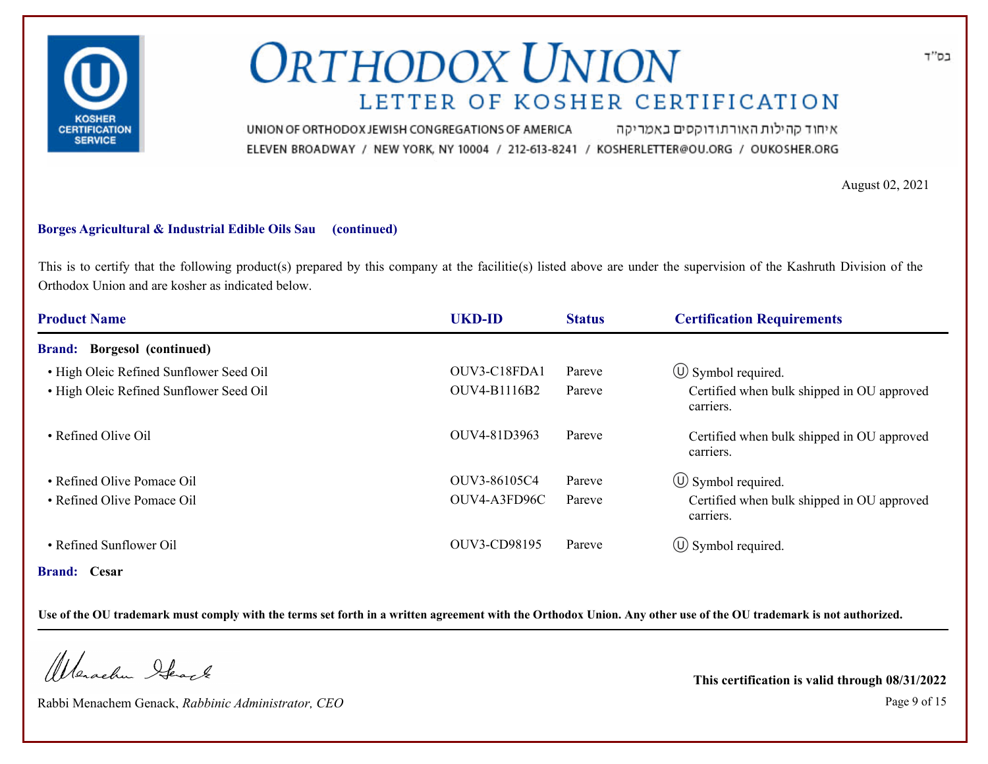

איחוד קהילות האורתודוקסים באמריקה UNION OF ORTHODOX JEWISH CONGREGATIONS OF AMERICA ELEVEN BROADWAY / NEW YORK, NY 10004 / 212-613-8241 / KOSHERLETTER@OU.ORG / OUKOSHER.ORG

August 02, 2021

#### **Borges Agricultural & Industrial Edible Oils Sau (continued)**

This is to certify that the following product(s) prepared by this company at the facilitie(s) listed above are under the supervision of the Kashruth Division of the Orthodox Union and are kosher as indicated below.

| <b>Product Name</b>                          | <b>UKD-ID</b> | <b>Status</b> | <b>Certification Requirements</b>                       |
|----------------------------------------------|---------------|---------------|---------------------------------------------------------|
| <b>Borgesol</b> (continued)<br><b>Brand:</b> |               |               |                                                         |
| • High Oleic Refined Sunflower Seed Oil      | OUV3-C18FDA1  | Pareve        | $\circ$ Symbol required.                                |
| • High Oleic Refined Sunflower Seed Oil      | OUV4-B1116B2  | Pareve        | Certified when bulk shipped in OU approved<br>carriers. |
| • Refined Olive Oil                          | OUV4-81D3963  | Pareve        | Certified when bulk shipped in OU approved<br>carriers. |
| • Refined Olive Pomace Oil                   | OUV3-86105C4  | Pareve        | $\circ$ Symbol required.                                |
| • Refined Olive Pomace Oil                   | OUV4-A3FD96C  | Pareve        | Certified when bulk shipped in OU approved<br>carriers. |
| • Refined Sunflower Oil                      | OUV3-CD98195  | Pareve        | $\circled{1}$ Symbol required.                          |
| <b>Brand:</b> Cesar                          |               |               |                                                         |

**Use of the OU trademark must comply with the terms set forth in a written agreement with the Orthodox Union. Any other use of the OU trademark is not authorized.**

Werachen Stack

Rabbi Menachem Genack, *Rabbinic Administrator, CEO* Page 9 of 15

**This certification is valid through 08/31/2022**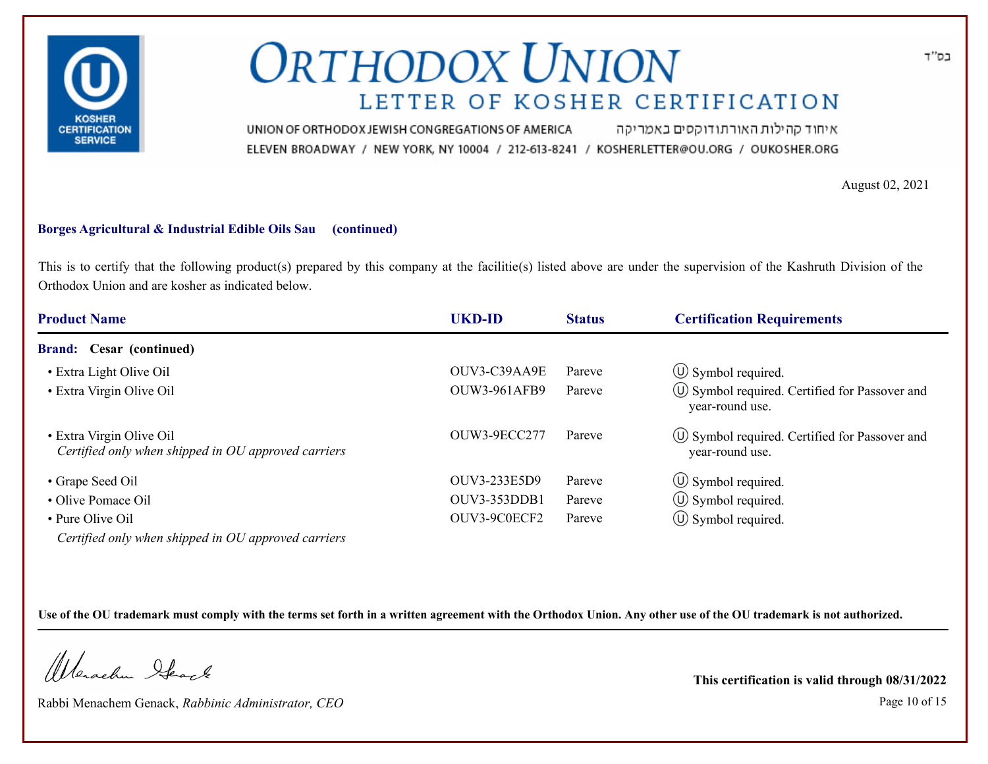

איחוד קהילות האורתודוקסים באמריקה UNION OF ORTHODOX JEWISH CONGREGATIONS OF AMERICA ELEVEN BROADWAY / NEW YORK, NY 10004 / 212-613-8241 / KOSHERLETTER@OU.ORG / OUKOSHER.ORG

August 02, 2021

#### **Borges Agricultural & Industrial Edible Oils Sau (continued)**

This is to certify that the following product(s) prepared by this company at the facilitie(s) listed above are under the supervision of the Kashruth Division of the Orthodox Union and are kosher as indicated below.

| <b>Product Name</b>                                                                                                                                                                                                                                                                                                      | UKD-ID              | <b>Status</b> | <b>Certification Requirements</b>                                      |
|--------------------------------------------------------------------------------------------------------------------------------------------------------------------------------------------------------------------------------------------------------------------------------------------------------------------------|---------------------|---------------|------------------------------------------------------------------------|
| <b>Brand:</b> Cesar (continued)                                                                                                                                                                                                                                                                                          |                     |               |                                                                        |
| • Extra Light Olive Oil                                                                                                                                                                                                                                                                                                  | OUV3-C39AA9E        | Pareve        | $\circ$ Symbol required.                                               |
| • Extra Virgin Olive Oil                                                                                                                                                                                                                                                                                                 | <b>OUW3-961AFB9</b> | Pareve        | $\circ$ Symbol required. Certified for Passover and<br>year-round use. |
| • Extra Virgin Olive Oil<br>Certified only when shipped in OU approved carriers                                                                                                                                                                                                                                          | OUW3-9ECC277        | Pareve        | $\circ$ Symbol required. Certified for Passover and<br>year-round use. |
| • Grape Seed Oil                                                                                                                                                                                                                                                                                                         | OUV3-233E5D9        | Pareve        | $\circled{1}$ Symbol required.                                         |
| • Olive Pomace Oil                                                                                                                                                                                                                                                                                                       | OUV3-353DDB1        | Pareve        | $\circled{1}$ Symbol required.                                         |
| • Pure Olive Oil                                                                                                                                                                                                                                                                                                         | OUV3-9C0ECF2        | Pareve        | $\circled{1}$ Symbol required.                                         |
| $C$ and $C$ and $C$ and $C$ are as $\overline{C}$ and $\overline{C}$ and $\overline{C}$ and $\overline{C}$ and $\overline{C}$ and $\overline{C}$ and $\overline{C}$ and $\overline{C}$ and $\overline{C}$ and $\overline{C}$ and $\overline{C}$ and $\overline{C}$ and $\overline{C}$ and $\overline{C}$ and $\overline$ |                     |               |                                                                        |

*Certified only when shipped in OU approved carriers*

**Use of the OU trademark must comply with the terms set forth in a written agreement with the Orthodox Union. Any other use of the OU trademark is not authorized.**

Werschn Stack

Rabbi Menachem Genack, *Rabbinic Administrator, CEO* Page 10 of 15

**This certification is valid through 08/31/2022**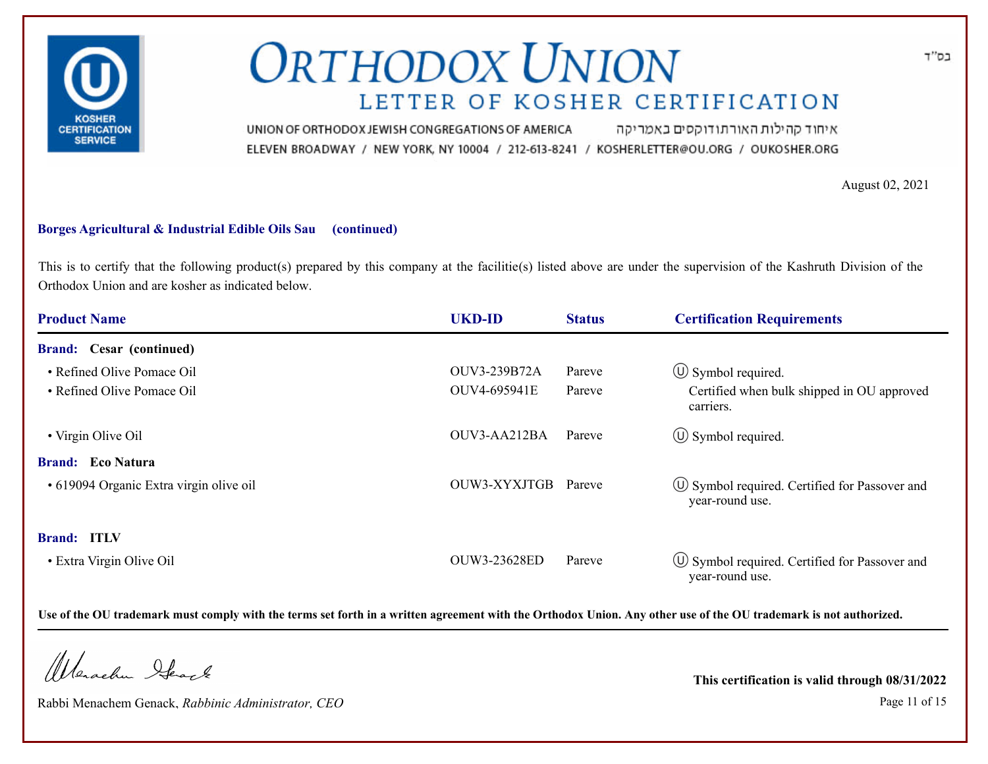

איחוד קהילות האורתודוקסים באמריקה UNION OF ORTHODOX JEWISH CONGREGATIONS OF AMERICA ELEVEN BROADWAY / NEW YORK, NY 10004 / 212-613-8241 / KOSHERLETTER@OU.ORG / OUKOSHER.ORG

August 02, 2021

#### **Borges Agricultural & Industrial Edible Oils Sau (continued)**

This is to certify that the following product(s) prepared by this company at the facilitie(s) listed above are under the supervision of the Kashruth Division of the Orthodox Union and are kosher as indicated below.

| <b>Product Name</b>                     | <b>UKD-ID</b> | <b>Status</b> | <b>Certification Requirements</b>                                      |
|-----------------------------------------|---------------|---------------|------------------------------------------------------------------------|
| <b>Brand:</b> Cesar (continued)         |               |               |                                                                        |
| • Refined Olive Pomace Oil              | OUV3-239B72A  | Pareve        | $\circled{1}$ Symbol required.                                         |
| • Refined Olive Pomace Oil              | OUV4-695941E  | Pareve        | Certified when bulk shipped in OU approved<br>carriers.                |
| • Virgin Olive Oil                      | OUV3-AA212BA  | Pareve        | $\circled{1}$ Symbol required.                                         |
| <b>Brand:</b> Eco Natura                |               |               |                                                                        |
| • 619094 Organic Extra virgin olive oil | OUW3-XYXJTGB  | Pareve        | $\circ$ Symbol required. Certified for Passover and<br>year-round use. |
| <b>Brand: ITLV</b>                      |               |               |                                                                        |
| • Extra Virgin Olive Oil                | OUW3-23628ED  | Pareve        | $\circ$ Symbol required. Certified for Passover and<br>year-round use. |

**Use of the OU trademark must comply with the terms set forth in a written agreement with the Orthodox Union. Any other use of the OU trademark is not authorized.**

Werschn Stack

Rabbi Menachem Genack, *Rabbinic Administrator, CEO* Page 11 of 15

**This certification is valid through 08/31/2022**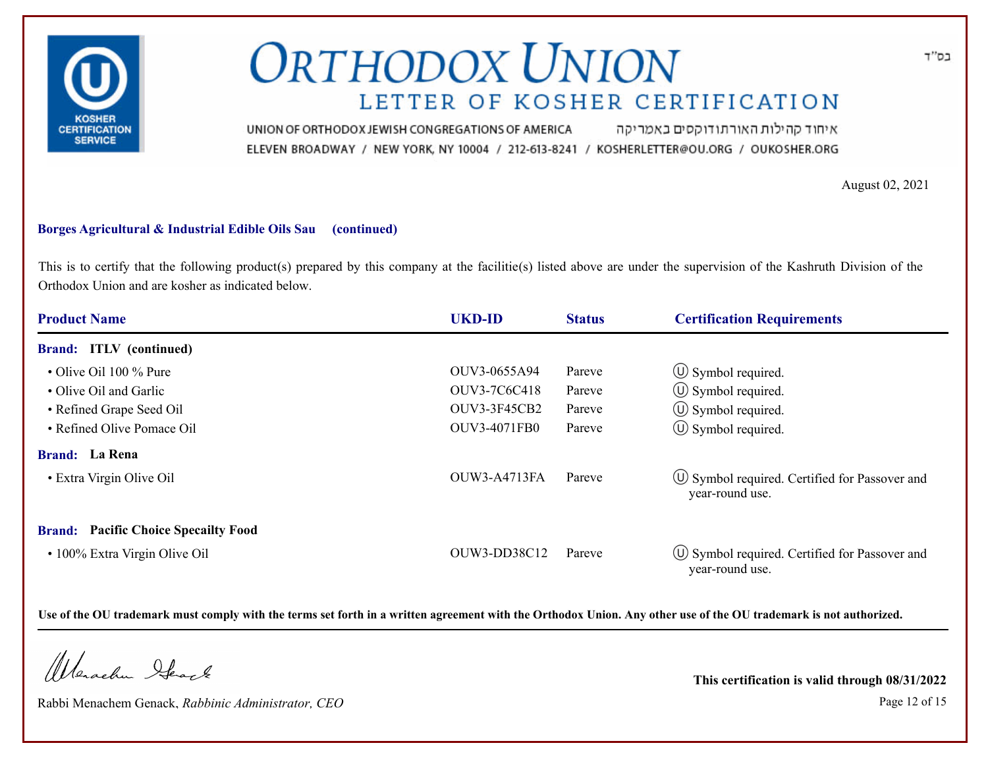

איחוד קהילות האורתודוקסים באמריקה UNION OF ORTHODOX JEWISH CONGREGATIONS OF AMERICA ELEVEN BROADWAY / NEW YORK, NY 10004 / 212-613-8241 / KOSHERLETTER@OU.ORG / OUKOSHER.ORG

August 02, 2021

#### **Borges Agricultural & Industrial Edible Oils Sau (continued)**

This is to certify that the following product(s) prepared by this company at the facilitie(s) listed above are under the supervision of the Kashruth Division of the Orthodox Union and are kosher as indicated below.

| <b>Product Name</b>                         | <b>UKD-ID</b>       | <b>Status</b> | <b>Certification Requirements</b>                                      |
|---------------------------------------------|---------------------|---------------|------------------------------------------------------------------------|
| <b>Brand:</b> ITLV (continued)              |                     |               |                                                                        |
| $\cdot$ Olive Oil 100 % Pure                | OUV3-0655A94        | Pareve        | $\circ$ Symbol required.                                               |
| • Olive Oil and Garlic                      | OUV3-7C6C418        | Pareve        | $\circled{1}$ Symbol required.                                         |
| • Refined Grape Seed Oil                    | <b>OUV3-3F45CB2</b> | Pareve        | $\circ$ Symbol required.                                               |
| • Refined Olive Pomace Oil                  | <b>OUV3-4071FB0</b> | Pareve        | $\circled{1}$ Symbol required.                                         |
| <b>Brand:</b> La Rena                       |                     |               |                                                                        |
| • Extra Virgin Olive Oil                    | <b>OUW3-A4713FA</b> | Pareve        | U Symbol required. Certified for Passover and<br>year-round use.       |
| <b>Brand:</b> Pacific Choice Specallty Food |                     |               |                                                                        |
| • 100% Extra Virgin Olive Oil               | OUW3-DD38C12        | Pareve        | $\circ$ Symbol required. Certified for Passover and<br>year-round use. |

**Use of the OU trademark must comply with the terms set forth in a written agreement with the Orthodox Union. Any other use of the OU trademark is not authorized.**

Werschn Stack

Rabbi Menachem Genack, *Rabbinic Administrator, CEO* Page 12 of 15

**This certification is valid through 08/31/2022**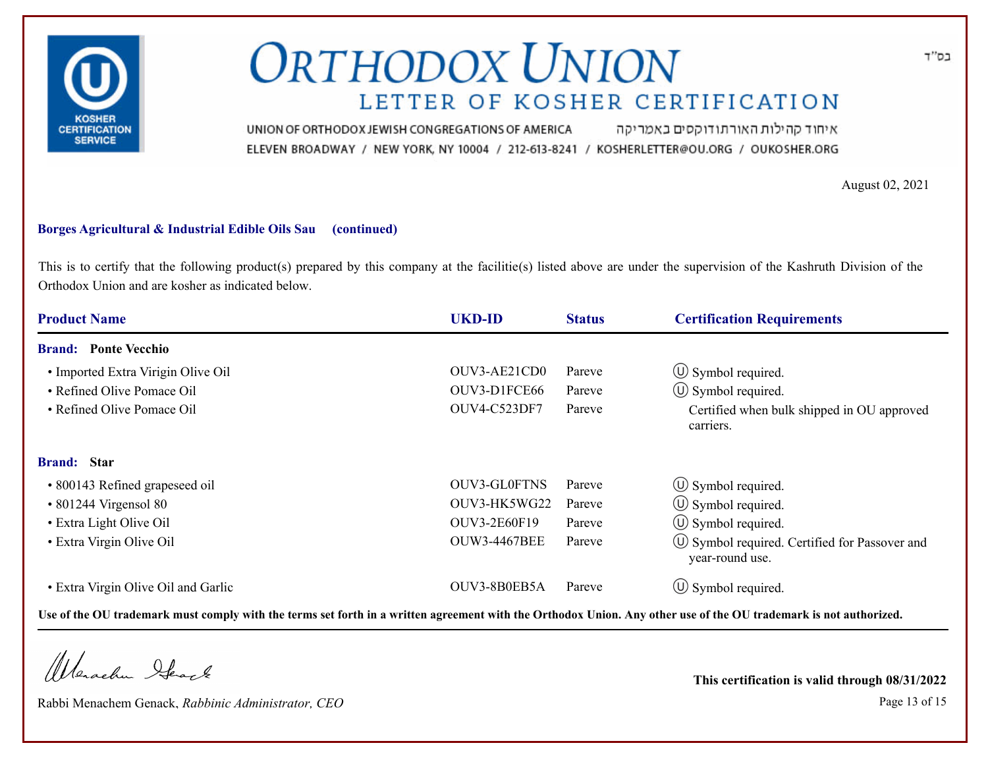

איחוד קהילות האורתודוקסים באמריקה UNION OF ORTHODOX JEWISH CONGREGATIONS OF AMERICA ELEVEN BROADWAY / NEW YORK, NY 10004 / 212-613-8241 / KOSHERLETTER@OU.ORG / OUKOSHER.ORG

August 02, 2021

#### **Borges Agricultural & Industrial Edible Oils Sau (continued)**

This is to certify that the following product(s) prepared by this company at the facilitie(s) listed above are under the supervision of the Kashruth Division of the Orthodox Union and are kosher as indicated below.

| <b>Product Name</b>                 | <b>UKD-ID</b>       | <b>Status</b> | <b>Certification Requirements</b>                                  |
|-------------------------------------|---------------------|---------------|--------------------------------------------------------------------|
| <b>Brand:</b> Ponte Vecchio         |                     |               |                                                                    |
| • Imported Extra Virigin Olive Oil  | OUV3-AE21CD0        | Pareve        | $\circ$ Symbol required.                                           |
| • Refined Olive Pomace Oil          | OUV3-D1FCE66        | Pareve        | $\circ$ Symbol required.                                           |
| • Refined Olive Pomace Oil          | OUV4-C523DF7        | Pareve        | Certified when bulk shipped in OU approved<br>carriers.            |
| <b>Brand:</b> Star                  |                     |               |                                                                    |
| • 800143 Refined grapeseed oil      | OUV3-GL0FTNS        | Pareve        | $\circ$ Symbol required.                                           |
| $\cdot$ 801244 Virgensol 80         | OUV3-HK5WG22        | Pareve        | $\circ$ Symbol required.                                           |
| • Extra Light Olive Oil             | <b>OUV3-2E60F19</b> | Pareve        | $\circ$ Symbol required.                                           |
| • Extra Virgin Olive Oil            | <b>OUW3-4467BEE</b> | Pareve        | (∪) Symbol required. Certified for Passover and<br>year-round use. |
| • Extra Virgin Olive Oil and Garlic | OUV3-8B0EB5A        | Pareve        | $\circ$ Symbol required.                                           |

**Use of the OU trademark must comply with the terms set forth in a written agreement with the Orthodox Union. Any other use of the OU trademark is not authorized.**

Werschn Stack

Rabbi Menachem Genack, *Rabbinic Administrator, CEO* Page 13 of 15

**This certification is valid through 08/31/2022**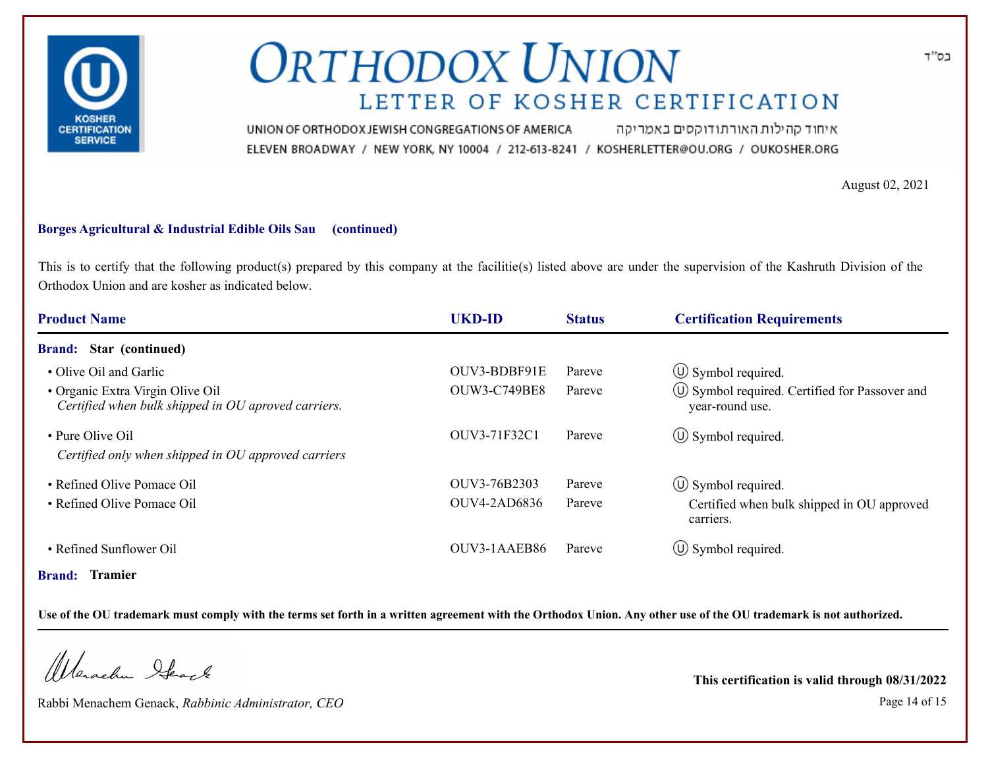

איחוד קהילות האורתודוקסים באמריקה UNION OF ORTHODOX JEWISH CONGREGATIONS OF AMERICA ELEVEN BROADWAY / NEW YORK, NY 10004 / 212-613-8241 / KOSHERLETTER@OU.ORG / OUKOSHER.ORG

August 02, 2021

#### **Borges Agricultural & Industrial Edible Oils Sau (continued)**

This is to certify that the following product(s) prepared by this company at the facilitie(s) listed above are under the supervision of the Kashruth Division of the Orthodox Union and are kosher as indicated below.

| <b>Product Name</b>                                                                     | <b>UKD-ID</b>       | <b>Status</b> | <b>Certification Requirements</b>                                  |
|-----------------------------------------------------------------------------------------|---------------------|---------------|--------------------------------------------------------------------|
| <b>Brand:</b> Star (continued)                                                          |                     |               |                                                                    |
| • Olive Oil and Garlic                                                                  | OUV3-BDBF91E        | Pareve        | $\circled{1}$ Symbol required.                                     |
| • Organic Extra Virgin Olive Oil<br>Certified when bulk shipped in OU aproved carriers. | <b>OUW3-C749BE8</b> | Pareve        | (U) Symbol required. Certified for Passover and<br>year-round use. |
| • Pure Olive Oil                                                                        | OUV3-71F32C1        | Pareve        | $\circ$ Symbol required.                                           |
| Certified only when shipped in OU approved carriers                                     |                     |               |                                                                    |
| • Refined Olive Pomace Oil                                                              | OUV3-76B2303        | Pareve        | $\circ$ Symbol required.                                           |
| • Refined Olive Pomace Oil                                                              | <b>OUV4-2AD6836</b> | Pareve        | Certified when bulk shipped in OU approved<br>carriers.            |
| • Refined Sunflower Oil                                                                 | OUV3-1AAEB86        | Pareve        | $\circ$ Symbol required.                                           |
| <b>Brand: Tramier</b>                                                                   |                     |               |                                                                    |

**Use of the OU trademark must comply with the terms set forth in a written agreement with the Orthodox Union. Any other use of the OU trademark is not authorized.**

Werachen Stack

Rabbi Menachem Genack, *Rabbinic Administrator, CEO* Page 14 of 15

**This certification is valid through 08/31/2022**